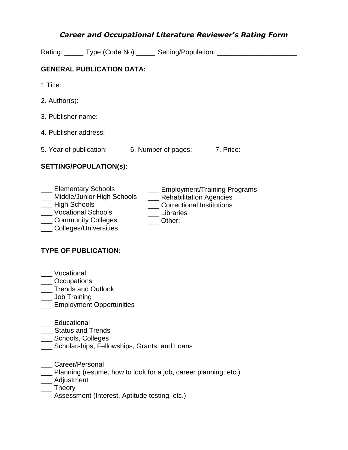# *Career and Occupational Literature Reviewer's Rating Form*

Rating: \_\_\_\_\_ Type (Code No): \_\_\_\_\_ Setting/Population: \_\_\_\_\_\_\_\_\_\_\_\_\_\_\_\_\_\_\_\_\_\_\_\_

### **GENERAL PUBLICATION DATA:**

- 1 Title:
- 2. Author(s):
- 3. Publisher name:
- 4. Publisher address:

5. Year of publication: 6. Number of pages: 7. Price:

\_\_\_ Libraries \_\_\_ Other:

#### **SETTING/POPULATION(s):**

- \_\_\_ Elementary Schools \_\_\_ Employment/Training Programs
- \_\_\_ Middle/Junior High Schools \_\_\_ Rehabilitation Agencies \_\_\_ Correctional Institutions
- \_\_\_ High Schools
- \_\_\_ Vocational Schools
- \_\_\_ Community Colleges
- \_\_\_ Colleges/Universities

## **TYPE OF PUBLICATION:**

- \_\_\_ Vocational
- \_\_\_ Occupations
- \_\_\_ Trends and Outlook
- \_\_\_ Job Training
- **Employment Opportunities**
- \_\_\_ Educational
- \_\_\_ Status and Trends
- \_\_\_ Schools, Colleges
- **LETT** Scholarships, Fellowships, Grants, and Loans
- \_\_\_ Career/Personal
- Planning (resume, how to look for a job, career planning, etc.)
- \_\_\_ Adjustment
- \_\_\_ Theory
- **Lace Assessment (Interest, Aptitude testing, etc.)**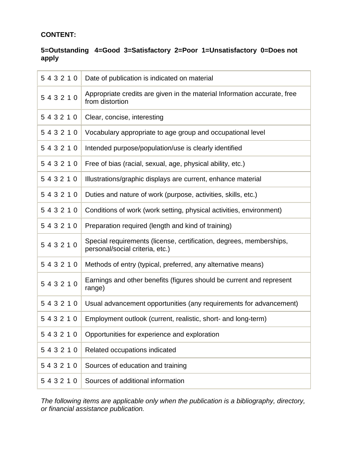### **CONTENT:**

#### **5=Outstanding 4=Good 3=Satisfactory 2=Poor 1=Unsatisfactory 0=Does not apply**

| 543210 | Date of publication is indicated on material                                                           |
|--------|--------------------------------------------------------------------------------------------------------|
| 543210 | Appropriate credits are given in the material Information accurate, free<br>from distortion            |
| 543210 | Clear, concise, interesting                                                                            |
| 543210 | Vocabulary appropriate to age group and occupational level                                             |
| 543210 | Intended purpose/population/use is clearly identified                                                  |
| 543210 | Free of bias (racial, sexual, age, physical ability, etc.)                                             |
| 543210 | Illustrations/graphic displays are current, enhance material                                           |
| 543210 | Duties and nature of work (purpose, activities, skills, etc.)                                          |
| 543210 | Conditions of work (work setting, physical activities, environment)                                    |
| 543210 | Preparation required (length and kind of training)                                                     |
| 543210 | Special requirements (license, certification, degrees, memberships,<br>personal/social criteria, etc.) |
| 543210 | Methods of entry (typical, preferred, any alternative means)                                           |
| 543210 | Earnings and other benefits (figures should be current and represent<br>range)                         |
| 543210 | Usual advancement opportunities (any requirements for advancement)                                     |
| 543210 | Employment outlook (current, realistic, short- and long-term)                                          |
| 543210 | Opportunities for experience and exploration                                                           |
| 543210 | Related occupations indicated                                                                          |
| 543210 | Sources of education and training                                                                      |
| 543210 | Sources of additional information                                                                      |

*The following items are applicable only when the publication is a bibliography, directory, or financial assistance publication.*